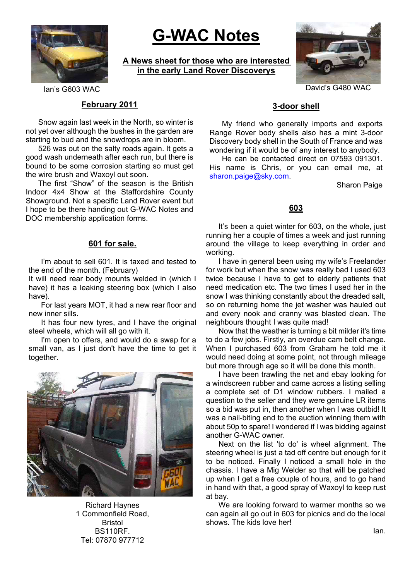

# **G-WAC Notes**

**A News sheet for those who are interested in the early Land Rover Discoverys**



#### **February 2011**

Snow again last week in the North, so winter is not yet over although the bushes in the garden are starting to bud and the snowdrops are in bloom.

526 was out on the salty roads again. It gets a good wash underneath after each run, but there is bound to be some corrosion starting so must get the wire brush and Waxoyl out soon.

The first "Show" of the season is the British Indoor 4x4 Show at the Staffordshire County Showground. Not a specific Land Rover event but I hope to be there handing out G-WAC Notes and DOC membership application forms.

#### **601 for sale.**

I'm about to sell 601. It is taxed and tested to the end of the month. (February)

It will need rear body mounts welded in (which I have) it has a leaking steering box (which I also have).

For last years MOT, it had a new rear floor and new inner sills.

It has four new tyres, and I have the original steel wheels, which will all go with it.

I'm open to offers, and would do a swap for a small van, as I just don't have the time to get it together.



Richard Haynes 1 Commonfield Road, Bristol BS110RF. Tel: 07870 977712

## **3-door shell**

My friend who generally imports and exports Range Rover body shells also has a mint 3-door Discovery body shell in the South of France and was wondering if it would be of any interest to anybody.

He can be contacted direct on 07593 091301. His name is Chris, or you can email me, at sharon.paige@sky.com.

Sharon Paige

#### **603**

It's been a quiet winter for 603, on the whole, just running her a couple of times a week and just running around the village to keep everything in order and working.

I have in general been using my wife's Freelander for work but when the snow was really bad I used 603 twice because I have to get to elderly patients that need medication etc. The two times I used her in the snow I was thinking constantly about the dreaded salt, so on returning home the jet washer was hauled out and every nook and cranny was blasted clean. The neighbours thought I was quite mad!

Now that the weather is turning a bit milder it's time to do a few jobs. Firstly, an overdue cam belt change. When I purchased 603 from Graham he told me it would need doing at some point, not through mileage but more through age so it will be done this month.

I have been trawling the net and ebay looking for a windscreen rubber and came across a listing selling a complete set of D1 window rubbers. I mailed a question to the seller and they were genuine LR items so a bid was put in, then another when I was outbid! It was a nail-biting end to the auction winning them with about 50p to spare! I wondered if I was bidding against another G-WAC owner.

Next on the list 'to do' is wheel alignment. The steering wheel is just a tad off centre but enough for it to be noticed. Finally I noticed a small hole in the chassis. I have a Mig Welder so that will be patched up when I get a free couple of hours, and to go hand in hand with that, a good spray of Waxoyl to keep rust at bay.

We are looking forward to warmer months so we can again all go out in 603 for picnics and do the local shows. The kids love her!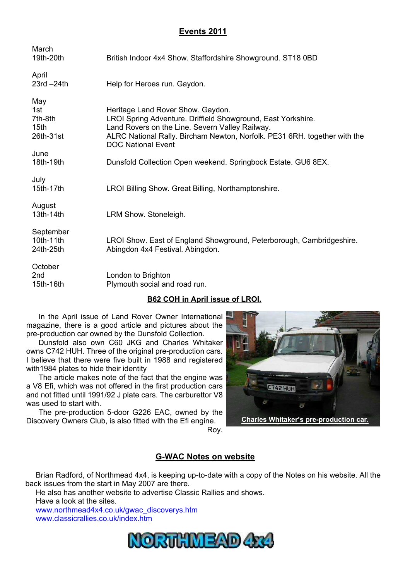# **Events 2011**

| March<br>19th-20th                                              | British Indoor 4x4 Show. Staffordshire Showground. ST18 0BD                                                                                                                                                                                                    |
|-----------------------------------------------------------------|----------------------------------------------------------------------------------------------------------------------------------------------------------------------------------------------------------------------------------------------------------------|
| April<br>$23rd - 24th$                                          | Help for Heroes run. Gaydon.                                                                                                                                                                                                                                   |
| May<br>1st.<br>7th-8th<br>15 <sub>th</sub><br>26th-31st<br>June | Heritage Land Rover Show. Gaydon.<br>LROI Spring Adventure. Driffield Showground, East Yorkshire.<br>Land Rovers on the Line. Severn Valley Railway.<br>ALRC National Rally. Bircham Newton, Norfolk. PE31 6RH. together with the<br><b>DOC National Event</b> |
| 18th-19th                                                       | Dunsfold Collection Open weekend. Springbock Estate. GU6 8EX.                                                                                                                                                                                                  |
| July<br>15th-17th                                               | LROI Billing Show. Great Billing, Northamptonshire.                                                                                                                                                                                                            |
| August<br>13th-14th                                             | LRM Show. Stoneleigh.                                                                                                                                                                                                                                          |
| September<br>10th-11th<br>24th-25th                             | LROI Show. East of England Showground, Peterborough, Cambridgeshire.<br>Abingdon 4x4 Festival. Abingdon.                                                                                                                                                       |
| October<br>2 <sub>nd</sub><br>15th-16th                         | London to Brighton<br>Plymouth social and road run.                                                                                                                                                                                                            |

## **B62 COH in April issue of LROI.**

In the April issue of Land Rover Owner International magazine, there is a good article and pictures about the pre-production car owned by the Dunsfold Collection.

Dunsfold also own C60 JKG and Charles Whitaker owns C742 HUH. Three of the original pre-production cars. I believe that there were five built in 1988 and registered with1984 plates to hide their identity

The article makes note of the fact that the engine was a V8 Efi, which was not offered in the first production cars and not fitted until 1991/92 J plate cars. The carburettor V8 was used to start with.

The pre-production 5-door G226 EAC, owned by the Discovery Owners Club, is also fitted with the Efi engine. Roy.



## **G-WAC Notes on website**

Brian Radford, of Northmead 4x4, is keeping up-to-date with a copy of the Notes on his website. All the back issues from the start in May 2007 are there.

He also has another website to advertise Classic Rallies and shows. Have a look at the sites.

www.northmead4x4.co.uk/gwac\_discoverys.htm www.classicrallies.co.uk/index.htm

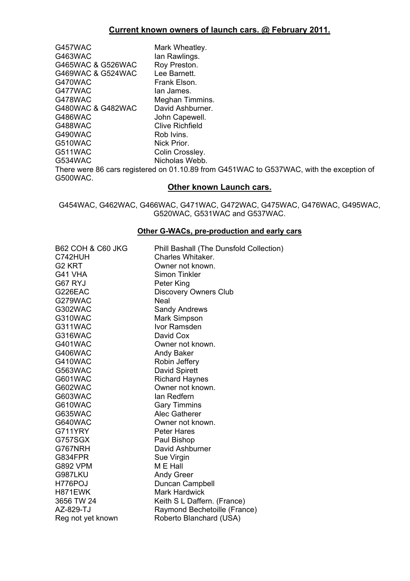| G457WAC           | Mark Wheatley.                                                                                                  |
|-------------------|-----------------------------------------------------------------------------------------------------------------|
| G463WAC           | lan Rawlings.                                                                                                   |
| G465WAC & G526WAC | Roy Preston.                                                                                                    |
| G469WAC & G524WAC | Lee Barnett.                                                                                                    |
| G470WAC           | Frank Elson.                                                                                                    |
| G477WAC           | lan James.                                                                                                      |
| G478WAC           | Meghan Timmins.                                                                                                 |
| G480WAC & G482WAC | David Ashburner.                                                                                                |
| G486WAC           | John Capewell.                                                                                                  |
| G488WAC           | Clive Richfield                                                                                                 |
| G490WAC           | Rob Ivins.                                                                                                      |
| G510WAC           | Nick Prior.                                                                                                     |
| G511WAC           | Colin Crossley.                                                                                                 |
| G534WAC           | Nicholas Webb.                                                                                                  |
|                   | There were 86 cars registered on 01.10.89 from G451WAC to G537WAC, with the exception of                        |
| G500WAC.          |                                                                                                                 |
|                   | Attack to the contract of the second service of the service of the service of the service of the service of the |

#### **Other known Launch cars.**

G454WAC, G462WAC, G466WAC, G471WAC, G472WAC, G475WAC, G476WAC, G495WAC, G520WAC, G531WAC and G537WAC.

#### **Other G-WACs, pre-production and early cars**

| <b>B62 COH &amp; C60 JKG</b> | Phill Bashall (The Dunsfold Collection) |
|------------------------------|-----------------------------------------|
| C742HUH                      | Charles Whitaker.                       |
| G <sub>2</sub> KRT           | Owner not known.                        |
| G41 VHA                      | Simon Tinkler                           |
| G67 RYJ                      | Peter King                              |
| G226EAC                      | <b>Discovery Owners Club</b>            |
| G279WAC                      | <b>Neal</b>                             |
| G302WAC                      | <b>Sandy Andrews</b>                    |
| G310WAC                      | <b>Mark Simpson</b>                     |
| G311WAC                      | Ivor Ramsden                            |
| G316WAC                      | David Cox                               |
| G401WAC                      | Owner not known.                        |
| G406WAC                      | <b>Andy Baker</b>                       |
| G410WAC                      | Robin Jeffery                           |
| G563WAC                      | David Spirett                           |
| G601WAC                      | <b>Richard Haynes</b>                   |
| G602WAC                      | Owner not known.                        |
| G603WAC                      | lan Redfern                             |
| G610WAC                      | <b>Gary Timmins</b>                     |
| G635WAC                      | <b>Alec Gatherer</b>                    |
| G640WAC                      | Owner not known.                        |
| G711YRY                      | <b>Peter Hares</b>                      |
| G757SGX                      | Paul Bishop                             |
| G767NRH                      | David Ashburner                         |
| G834FPR                      | Sue Virgin                              |
| <b>G892 VPM</b>              | M E Hall                                |
| G987LKU                      | <b>Andy Greer</b>                       |
| H776POJ                      | Duncan Campbell                         |
| H871EWK                      | <b>Mark Hardwick</b>                    |
| 3656 TW 24                   | Keith S L Daffern. (France)             |
| AZ-829-TJ                    | Raymond Bechetoille (France)            |
| Reg not yet known            | Roberto Blanchard (USA)                 |